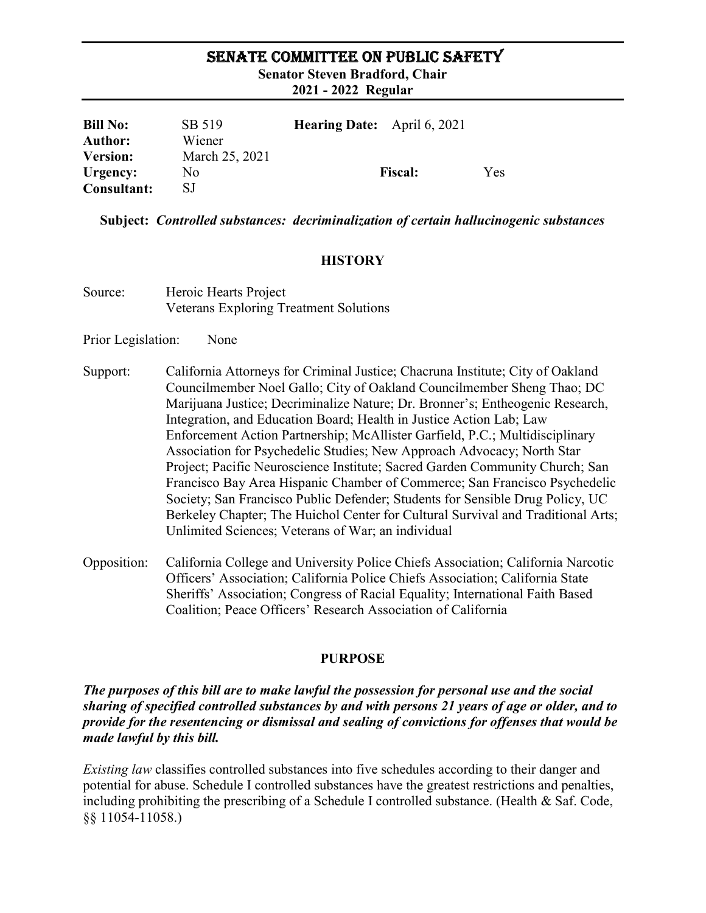### SENATE COMMITTEE ON PUBLIC SAFETY

Senator Steven Bradford, Chair

2021 - 2022 Regular

| <b>Bill No:</b>    | SB 519         | <b>Hearing Date:</b> April 6, 2021 |     |
|--------------------|----------------|------------------------------------|-----|
| <b>Author:</b>     | Wiener         |                                    |     |
| <b>Version:</b>    | March 25, 2021 |                                    |     |
| Urgency:           | No             | <b>Fiscal:</b>                     | Yes |
| <b>Consultant:</b> | SJ             |                                    |     |

Subject: Controlled substances: decriminalization of certain hallucinogenic substances

## **HISTORY**

- Source: Heroic Hearts Project Veterans Exploring Treatment Solutions
- Prior Legislation: None
- Support: California Attorneys for Criminal Justice; Chacruna Institute; City of Oakland Councilmember Noel Gallo; City of Oakland Councilmember Sheng Thao; DC Marijuana Justice; Decriminalize Nature; Dr. Bronner's; Entheogenic Research, Integration, and Education Board; Health in Justice Action Lab; Law Enforcement Action Partnership; McAllister Garfield, P.C.; Multidisciplinary Association for Psychedelic Studies; New Approach Advocacy; North Star Project; Pacific Neuroscience Institute; Sacred Garden Community Church; San Francisco Bay Area Hispanic Chamber of Commerce; San Francisco Psychedelic Society; San Francisco Public Defender; Students for Sensible Drug Policy, UC Berkeley Chapter; The Huichol Center for Cultural Survival and Traditional Arts; Unlimited Sciences; Veterans of War; an individual
- Opposition: California College and University Police Chiefs Association; California Narcotic Officers' Association; California Police Chiefs Association; California State Sheriffs' Association; Congress of Racial Equality; International Faith Based Coalition; Peace Officers' Research Association of California

#### PURPOSE

The purposes of this bill are to make lawful the possession for personal use and the social sharing of specified controlled substances by and with persons 21 years of age or older, and to provide for the resentencing or dismissal and sealing of convictions for offenses that would be made lawful by this bill.

Existing law classifies controlled substances into five schedules according to their danger and potential for abuse. Schedule I controlled substances have the greatest restrictions and penalties, including prohibiting the prescribing of a Schedule I controlled substance. (Health & Saf. Code, §§ 11054-11058.)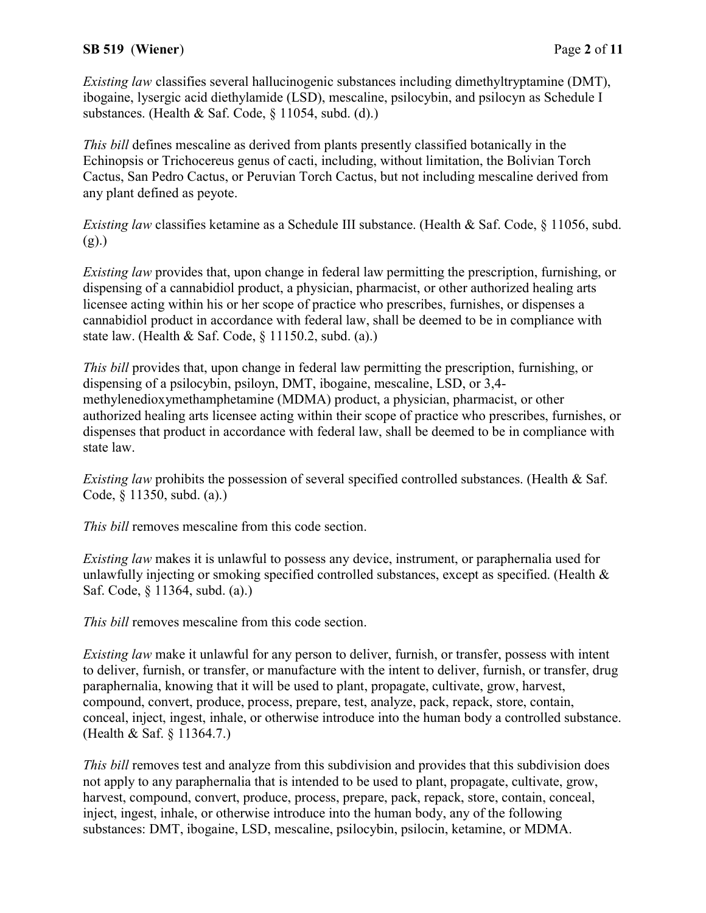## SB 519 (Wiener) Page 2 of 11

Existing law classifies several hallucinogenic substances including dimethyltryptamine (DMT), ibogaine, lysergic acid diethylamide (LSD), mescaline, psilocybin, and psilocyn as Schedule I substances. (Health & Saf. Code, § 11054, subd. (d).)

This bill defines mescaline as derived from plants presently classified botanically in the Echinopsis or Trichocereus genus of cacti, including, without limitation, the Bolivian Torch Cactus, San Pedro Cactus, or Peruvian Torch Cactus, but not including mescaline derived from any plant defined as peyote.

Existing law classifies ketamine as a Schedule III substance. (Health & Saf. Code, § 11056, subd. (g).)

Existing law provides that, upon change in federal law permitting the prescription, furnishing, or dispensing of a cannabidiol product, a physician, pharmacist, or other authorized healing arts licensee acting within his or her scope of practice who prescribes, furnishes, or dispenses a cannabidiol product in accordance with federal law, shall be deemed to be in compliance with state law. (Health & Saf. Code, § 11150.2, subd. (a).)

This bill provides that, upon change in federal law permitting the prescription, furnishing, or dispensing of a psilocybin, psiloyn, DMT, ibogaine, mescaline, LSD, or 3,4 methylenedioxymethamphetamine (MDMA) product, a physician, pharmacist, or other authorized healing arts licensee acting within their scope of practice who prescribes, furnishes, or dispenses that product in accordance with federal law, shall be deemed to be in compliance with state law.

Existing law prohibits the possession of several specified controlled substances. (Health & Saf. Code, § 11350, subd. (a).)

This bill removes mescaline from this code section.

Existing law makes it is unlawful to possess any device, instrument, or paraphernalia used for unlawfully injecting or smoking specified controlled substances, except as specified. (Health & Saf. Code, § 11364, subd. (a).)

This bill removes mescaline from this code section.

Existing law make it unlawful for any person to deliver, furnish, or transfer, possess with intent to deliver, furnish, or transfer, or manufacture with the intent to deliver, furnish, or transfer, drug paraphernalia, knowing that it will be used to plant, propagate, cultivate, grow, harvest, compound, convert, produce, process, prepare, test, analyze, pack, repack, store, contain, conceal, inject, ingest, inhale, or otherwise introduce into the human body a controlled substance. (Health & Saf. § 11364.7.)

This bill removes test and analyze from this subdivision and provides that this subdivision does not apply to any paraphernalia that is intended to be used to plant, propagate, cultivate, grow, harvest, compound, convert, produce, process, prepare, pack, repack, store, contain, conceal, inject, ingest, inhale, or otherwise introduce into the human body, any of the following substances: DMT, ibogaine, LSD, mescaline, psilocybin, psilocin, ketamine, or MDMA.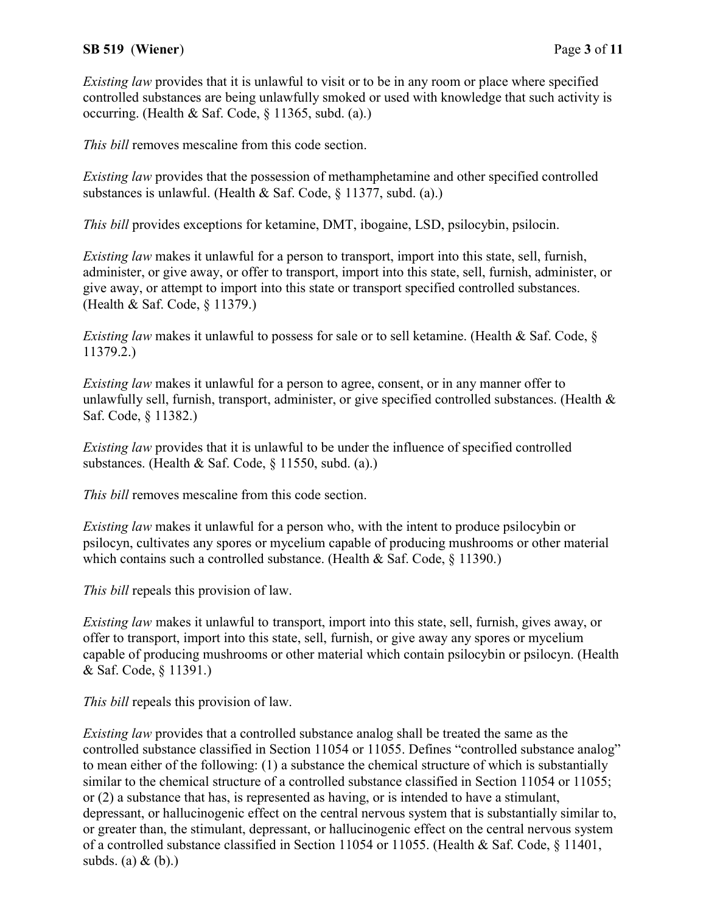# SB 519 (Wiener) Page 3 of 11

Existing law provides that it is unlawful to visit or to be in any room or place where specified controlled substances are being unlawfully smoked or used with knowledge that such activity is occurring. (Health & Saf. Code, § 11365, subd. (a).)

This bill removes mescaline from this code section.

Existing law provides that the possession of methamphetamine and other specified controlled substances is unlawful. (Health & Saf. Code, § 11377, subd. (a).)

This bill provides exceptions for ketamine, DMT, ibogaine, LSD, psilocybin, psilocin.

Existing law makes it unlawful for a person to transport, import into this state, sell, furnish, administer, or give away, or offer to transport, import into this state, sell, furnish, administer, or give away, or attempt to import into this state or transport specified controlled substances. (Health & Saf. Code, § 11379.)

Existing law makes it unlawful to possess for sale or to sell ketamine. (Health & Saf. Code,  $\S$ 11379.2.)

Existing law makes it unlawful for a person to agree, consent, or in any manner offer to unlawfully sell, furnish, transport, administer, or give specified controlled substances. (Health & Saf. Code, § 11382.)

Existing law provides that it is unlawful to be under the influence of specified controlled substances. (Health & Saf. Code, § 11550, subd. (a).)

This bill removes mescaline from this code section.

Existing law makes it unlawful for a person who, with the intent to produce psilocybin or psilocyn, cultivates any spores or mycelium capable of producing mushrooms or other material which contains such a controlled substance. (Health & Saf. Code, § 11390.)

This bill repeals this provision of law.

Existing law makes it unlawful to transport, import into this state, sell, furnish, gives away, or offer to transport, import into this state, sell, furnish, or give away any spores or mycelium capable of producing mushrooms or other material which contain psilocybin or psilocyn. (Health & Saf. Code, § 11391.)

This bill repeals this provision of law.

Existing law provides that a controlled substance analog shall be treated the same as the controlled substance classified in Section 11054 or 11055. Defines "controlled substance analog" to mean either of the following: (1) a substance the chemical structure of which is substantially similar to the chemical structure of a controlled substance classified in Section 11054 or 11055; or (2) a substance that has, is represented as having, or is intended to have a stimulant, depressant, or hallucinogenic effect on the central nervous system that is substantially similar to, or greater than, the stimulant, depressant, or hallucinogenic effect on the central nervous system of a controlled substance classified in Section 11054 or 11055. (Health & Saf. Code, § 11401, subds. (a)  $\&$  (b).)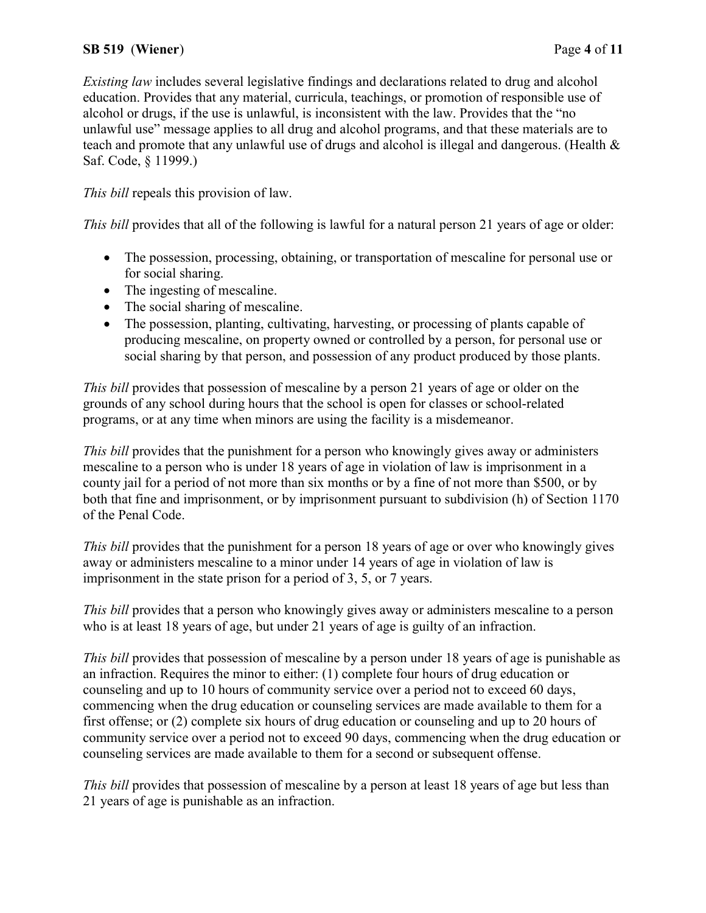# SB 519 (Wiener) Page 4 of 11

Existing law includes several legislative findings and declarations related to drug and alcohol education. Provides that any material, curricula, teachings, or promotion of responsible use of alcohol or drugs, if the use is unlawful, is inconsistent with the law. Provides that the "no unlawful use" message applies to all drug and alcohol programs, and that these materials are to teach and promote that any unlawful use of drugs and alcohol is illegal and dangerous. (Health & Saf. Code, § 11999.)

This bill repeals this provision of law.

This bill provides that all of the following is lawful for a natural person 21 years of age or older:

- The possession, processing, obtaining, or transportation of mescaline for personal use or for social sharing.
- The ingesting of mescaline.
- The social sharing of mescaline.
- The possession, planting, cultivating, harvesting, or processing of plants capable of producing mescaline, on property owned or controlled by a person, for personal use or social sharing by that person, and possession of any product produced by those plants.

This bill provides that possession of mescaline by a person 21 years of age or older on the grounds of any school during hours that the school is open for classes or school-related programs, or at any time when minors are using the facility is a misdemeanor.

This bill provides that the punishment for a person who knowingly gives away or administers mescaline to a person who is under 18 years of age in violation of law is imprisonment in a county jail for a period of not more than six months or by a fine of not more than \$500, or by both that fine and imprisonment, or by imprisonment pursuant to subdivision (h) of Section 1170 of the Penal Code.

This bill provides that the punishment for a person 18 years of age or over who knowingly gives away or administers mescaline to a minor under 14 years of age in violation of law is imprisonment in the state prison for a period of 3, 5, or 7 years.

This bill provides that a person who knowingly gives away or administers mescaline to a person who is at least 18 years of age, but under 21 years of age is guilty of an infraction.

This bill provides that possession of mescaline by a person under 18 years of age is punishable as an infraction. Requires the minor to either: (1) complete four hours of drug education or counseling and up to 10 hours of community service over a period not to exceed 60 days, commencing when the drug education or counseling services are made available to them for a first offense; or (2) complete six hours of drug education or counseling and up to 20 hours of community service over a period not to exceed 90 days, commencing when the drug education or counseling services are made available to them for a second or subsequent offense.

This bill provides that possession of mescaline by a person at least 18 years of age but less than 21 years of age is punishable as an infraction.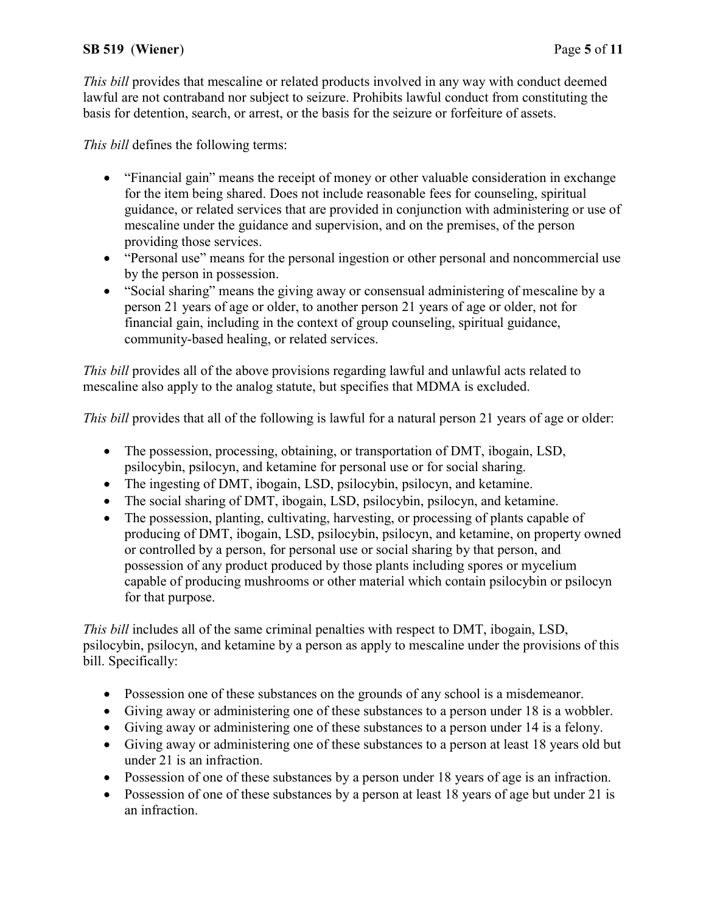# SB 519 (Wiener) Page 5 of 11

This bill provides that mescaline or related products involved in any way with conduct deemed lawful are not contraband nor subject to seizure. Prohibits lawful conduct from constituting the basis for detention, search, or arrest, or the basis for the seizure or forfeiture of assets.

This bill defines the following terms:

- "Financial gain" means the receipt of money or other valuable consideration in exchange for the item being shared. Does not include reasonable fees for counseling, spiritual guidance, or related services that are provided in conjunction with administering or use of mescaline under the guidance and supervision, and on the premises, of the person providing those services.
- "Personal use" means for the personal ingestion or other personal and noncommercial use by the person in possession.
- "Social sharing" means the giving away or consensual administering of mescaline by a person 21 years of age or older, to another person 21 years of age or older, not for financial gain, including in the context of group counseling, spiritual guidance, community-based healing, or related services.

This bill provides all of the above provisions regarding lawful and unlawful acts related to mescaline also apply to the analog statute, but specifies that MDMA is excluded.

This bill provides that all of the following is lawful for a natural person 21 years of age or older:

- The possession, processing, obtaining, or transportation of DMT, ibogain, LSD, psilocybin, psilocyn, and ketamine for personal use or for social sharing.
- The ingesting of DMT, ibogain, LSD, psilocybin, psilocyn, and ketamine.
- The social sharing of DMT, ibogain, LSD, psilocybin, psilocyn, and ketamine.
- The possession, planting, cultivating, harvesting, or processing of plants capable of producing of DMT, ibogain, LSD, psilocybin, psilocyn, and ketamine, on property owned or controlled by a person, for personal use or social sharing by that person, and possession of any product produced by those plants including spores or mycelium capable of producing mushrooms or other material which contain psilocybin or psilocyn for that purpose.

This bill includes all of the same criminal penalties with respect to DMT, ibogain, LSD, psilocybin, psilocyn, and ketamine by a person as apply to mescaline under the provisions of this bill. Specifically:

- Possession one of these substances on the grounds of any school is a misdemeanor.
- Giving away or administering one of these substances to a person under 18 is a wobbler.
- Giving away or administering one of these substances to a person under 14 is a felony.
- Giving away or administering one of these substances to a person at least 18 years old but under 21 is an infraction.
- Possession of one of these substances by a person under 18 years of age is an infraction.
- Possession of one of these substances by a person at least 18 years of age but under 21 is an infraction.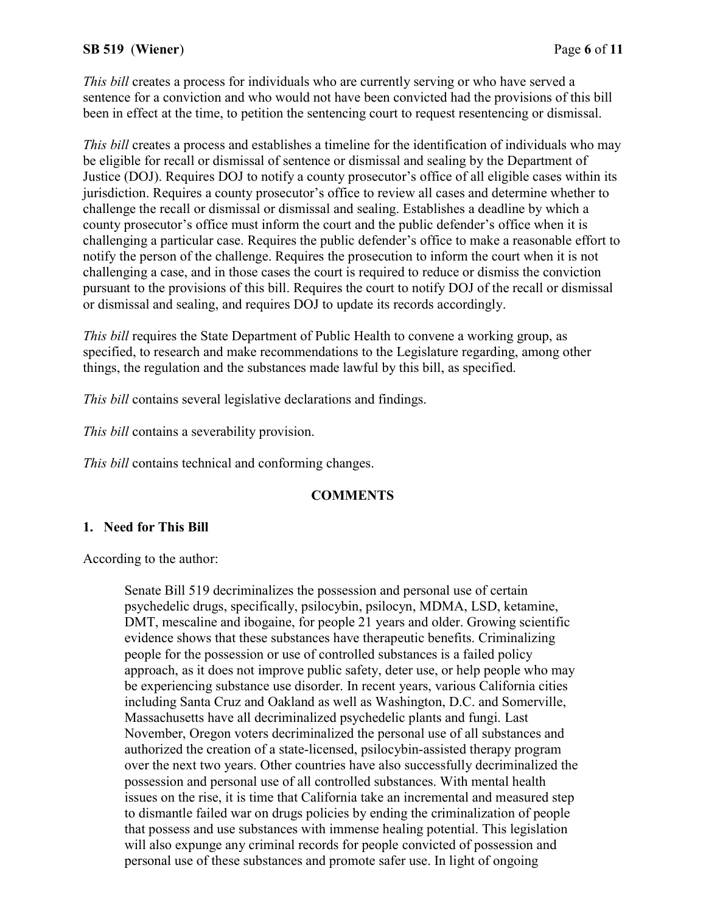### SB 519 (Wiener) Page 6 of 11

This bill creates a process for individuals who are currently serving or who have served a sentence for a conviction and who would not have been convicted had the provisions of this bill been in effect at the time, to petition the sentencing court to request resentencing or dismissal.

This bill creates a process and establishes a timeline for the identification of individuals who may be eligible for recall or dismissal of sentence or dismissal and sealing by the Department of Justice (DOJ). Requires DOJ to notify a county prosecutor's office of all eligible cases within its jurisdiction. Requires a county prosecutor's office to review all cases and determine whether to challenge the recall or dismissal or dismissal and sealing. Establishes a deadline by which a county prosecutor's office must inform the court and the public defender's office when it is challenging a particular case. Requires the public defender's office to make a reasonable effort to notify the person of the challenge. Requires the prosecution to inform the court when it is not challenging a case, and in those cases the court is required to reduce or dismiss the conviction pursuant to the provisions of this bill. Requires the court to notify DOJ of the recall or dismissal or dismissal and sealing, and requires DOJ to update its records accordingly.

This bill requires the State Department of Public Health to convene a working group, as specified, to research and make recommendations to the Legislature regarding, among other things, the regulation and the substances made lawful by this bill, as specified.

This bill contains several legislative declarations and findings.

This bill contains a severability provision.

This bill contains technical and conforming changes.

#### **COMMENTS**

#### 1. Need for This Bill

According to the author:

Senate Bill 519 decriminalizes the possession and personal use of certain psychedelic drugs, specifically, psilocybin, psilocyn, MDMA, LSD, ketamine, DMT, mescaline and ibogaine, for people 21 years and older. Growing scientific evidence shows that these substances have therapeutic benefits. Criminalizing people for the possession or use of controlled substances is a failed policy approach, as it does not improve public safety, deter use, or help people who may be experiencing substance use disorder. In recent years, various California cities including Santa Cruz and Oakland as well as Washington, D.C. and Somerville, Massachusetts have all decriminalized psychedelic plants and fungi. Last November, Oregon voters decriminalized the personal use of all substances and authorized the creation of a state-licensed, psilocybin-assisted therapy program over the next two years. Other countries have also successfully decriminalized the possession and personal use of all controlled substances. With mental health issues on the rise, it is time that California take an incremental and measured step to dismantle failed war on drugs policies by ending the criminalization of people that possess and use substances with immense healing potential. This legislation will also expunge any criminal records for people convicted of possession and personal use of these substances and promote safer use. In light of ongoing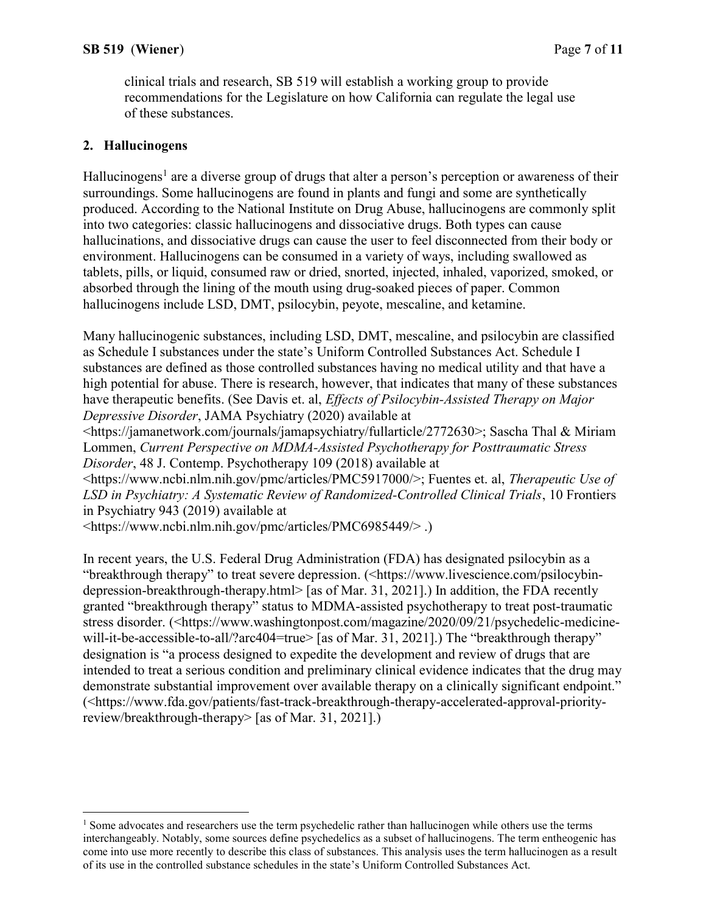clinical trials and research, SB 519 will establish a working group to provide recommendations for the Legislature on how California can regulate the legal use of these substances.

### 2. Hallucinogens

 $\overline{a}$ 

Hallucinogens<sup>1</sup> are a diverse group of drugs that alter a person's perception or awareness of their surroundings. Some hallucinogens are found in plants and fungi and some are synthetically produced. According to the National Institute on Drug Abuse, hallucinogens are commonly split into two categories: classic hallucinogens and dissociative drugs. Both types can cause hallucinations, and dissociative drugs can cause the user to feel disconnected from their body or environment. Hallucinogens can be consumed in a variety of ways, including swallowed as tablets, pills, or liquid, consumed raw or dried, snorted, injected, inhaled, vaporized, smoked, or absorbed through the lining of the mouth using drug-soaked pieces of paper. Common hallucinogens include LSD, DMT, psilocybin, peyote, mescaline, and ketamine.

Many hallucinogenic substances, including LSD, DMT, mescaline, and psilocybin are classified as Schedule I substances under the state's Uniform Controlled Substances Act. Schedule I substances are defined as those controlled substances having no medical utility and that have a high potential for abuse. There is research, however, that indicates that many of these substances have therapeutic benefits. (See Davis et. al, *Effects of Psilocybin-Assisted Therapy on Major* Depressive Disorder, JAMA Psychiatry (2020) available at

<https://jamanetwork.com/journals/jamapsychiatry/fullarticle/2772630>; Sascha Thal & Miriam Lommen, Current Perspective on MDMA-Assisted Psychotherapy for Posttraumatic Stress Disorder, 48 J. Contemp. Psychotherapy 109 (2018) available at

<https://www.ncbi.nlm.nih.gov/pmc/articles/PMC5917000/>; Fuentes et. al, Therapeutic Use of LSD in Psychiatry: A Systematic Review of Randomized-Controlled Clinical Trials, 10 Frontiers in Psychiatry 943 (2019) available at

<https://www.ncbi.nlm.nih.gov/pmc/articles/PMC6985449/> .)

In recent years, the U.S. Federal Drug Administration (FDA) has designated psilocybin as a "breakthrough therapy" to treat severe depression. (<https://www.livescience.com/psilocybindepression-breakthrough-therapy.html> [as of Mar. 31, 2021].) In addition, the FDA recently granted "breakthrough therapy" status to MDMA-assisted psychotherapy to treat post-traumatic stress disorder. (<https://www.washingtonpost.com/magazine/2020/09/21/psychedelic-medicinewill-it-be-accessible-to-all/?arc404=true> [as of Mar. 31, 2021].) The "breakthrough therapy" designation is "a process designed to expedite the development and review of drugs that are intended to treat a serious condition and preliminary clinical evidence indicates that the drug may demonstrate substantial improvement over available therapy on a clinically significant endpoint." (<https://www.fda.gov/patients/fast-track-breakthrough-therapy-accelerated-approval-priorityreview/breakthrough-therapy> [as of Mar. 31, 2021].)

<sup>&</sup>lt;sup>1</sup> Some advocates and researchers use the term psychedelic rather than hallucinogen while others use the terms interchangeably. Notably, some sources define psychedelics as a subset of hallucinogens. The term entheogenic has come into use more recently to describe this class of substances. This analysis uses the term hallucinogen as a result of its use in the controlled substance schedules in the state's Uniform Controlled Substances Act.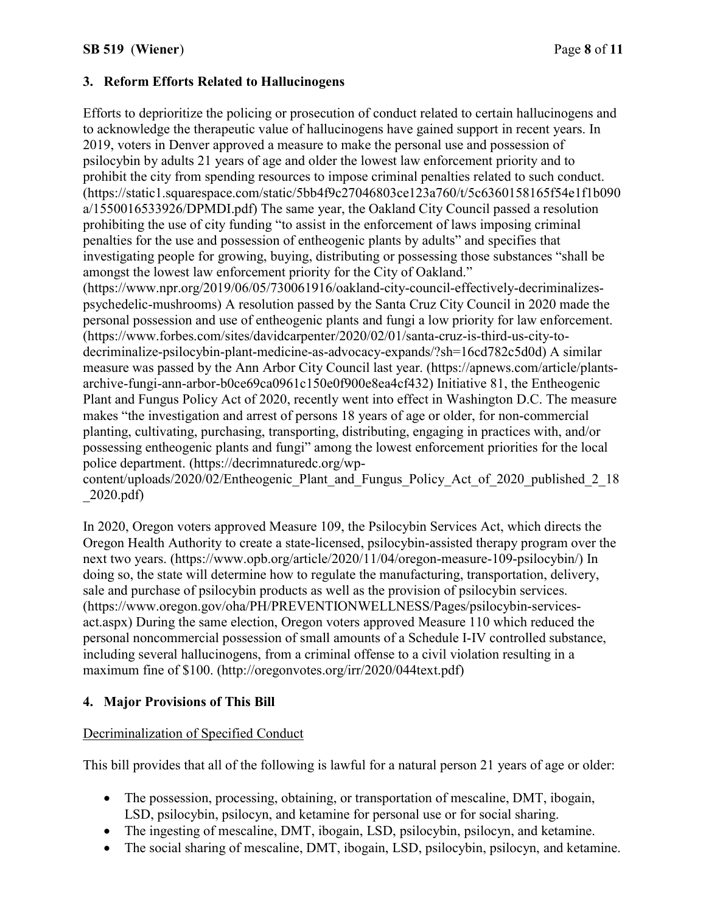# 3. Reform Efforts Related to Hallucinogens

Efforts to deprioritize the policing or prosecution of conduct related to certain hallucinogens and to acknowledge the therapeutic value of hallucinogens have gained support in recent years. In 2019, voters in Denver approved a measure to make the personal use and possession of psilocybin by adults 21 years of age and older the lowest law enforcement priority and to prohibit the city from spending resources to impose criminal penalties related to such conduct. (https://static1.squarespace.com/static/5bb4f9c27046803ce123a760/t/5c6360158165f54e1f1b090 a/1550016533926/DPMDI.pdf) The same year, the Oakland City Council passed a resolution prohibiting the use of city funding "to assist in the enforcement of laws imposing criminal penalties for the use and possession of entheogenic plants by adults" and specifies that investigating people for growing, buying, distributing or possessing those substances "shall be amongst the lowest law enforcement priority for the City of Oakland." (https://www.npr.org/2019/06/05/730061916/oakland-city-council-effectively-decriminalizespsychedelic-mushrooms) A resolution passed by the Santa Cruz City Council in 2020 made the personal possession and use of entheogenic plants and fungi a low priority for law enforcement. (https://www.forbes.com/sites/davidcarpenter/2020/02/01/santa-cruz-is-third-us-city-to-

decriminalize-psilocybin-plant-medicine-as-advocacy-expands/?sh=16cd782c5d0d) A similar measure was passed by the Ann Arbor City Council last year. (https://apnews.com/article/plantsarchive-fungi-ann-arbor-b0ce69ca0961c150e0f900e8ea4cf432) Initiative 81, the Entheogenic Plant and Fungus Policy Act of 2020, recently went into effect in Washington D.C. The measure makes "the investigation and arrest of persons 18 years of age or older, for non-commercial planting, cultivating, purchasing, transporting, distributing, engaging in practices with, and/or possessing entheogenic plants and fungi" among the lowest enforcement priorities for the local police department. (https://decrimnaturedc.org/wp-

content/uploads/2020/02/Entheogenic\_Plant\_and\_Fungus\_Policy\_Act\_of\_2020\_published\_2\_18 \_2020.pdf)

In 2020, Oregon voters approved Measure 109, the Psilocybin Services Act, which directs the Oregon Health Authority to create a state-licensed, psilocybin-assisted therapy program over the next two years. (https://www.opb.org/article/2020/11/04/oregon-measure-109-psilocybin/) In doing so, the state will determine how to regulate the manufacturing, transportation, delivery, sale and purchase of psilocybin products as well as the provision of psilocybin services. (https://www.oregon.gov/oha/PH/PREVENTIONWELLNESS/Pages/psilocybin-servicesact.aspx) During the same election, Oregon voters approved Measure 110 which reduced the personal noncommercial possession of small amounts of a Schedule I-IV controlled substance, including several hallucinogens, from a criminal offense to a civil violation resulting in a maximum fine of \$100. (http://oregonvotes.org/irr/2020/044text.pdf)

# 4. Major Provisions of This Bill

## Decriminalization of Specified Conduct

This bill provides that all of the following is lawful for a natural person 21 years of age or older:

- The possession, processing, obtaining, or transportation of mescaline, DMT, ibogain, LSD, psilocybin, psilocyn, and ketamine for personal use or for social sharing.
- The ingesting of mescaline, DMT, ibogain, LSD, psilocybin, psilocyn, and ketamine.
- The social sharing of mescaline, DMT, ibogain, LSD, psilocybin, psilocyn, and ketamine.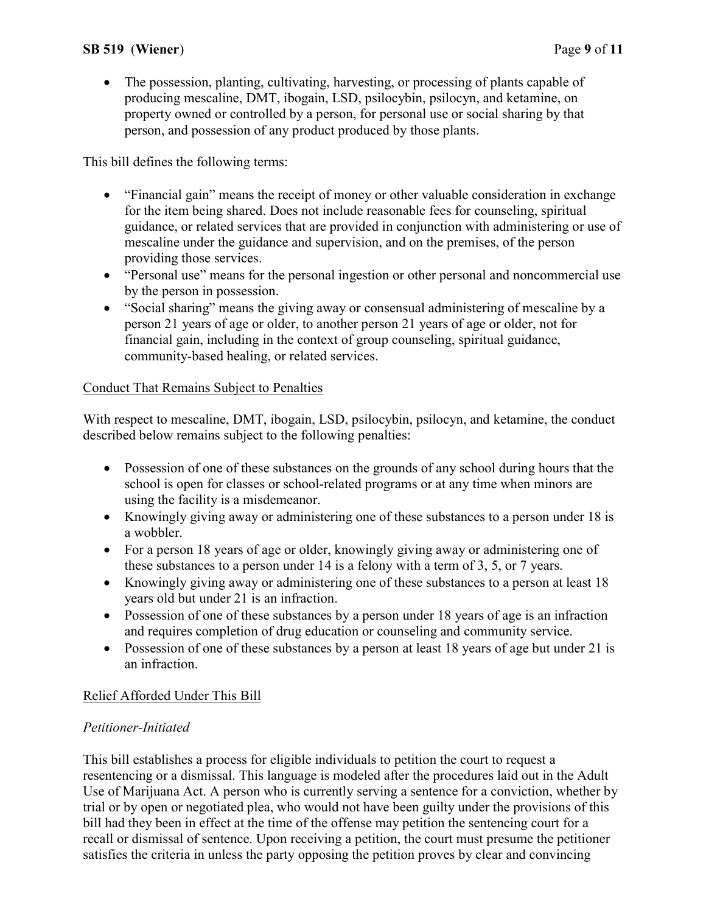• The possession, planting, cultivating, harvesting, or processing of plants capable of producing mescaline, DMT, ibogain, LSD, psilocybin, psilocyn, and ketamine, on property owned or controlled by a person, for personal use or social sharing by that person, and possession of any product produced by those plants.

This bill defines the following terms:

- "Financial gain" means the receipt of money or other valuable consideration in exchange for the item being shared. Does not include reasonable fees for counseling, spiritual guidance, or related services that are provided in conjunction with administering or use of mescaline under the guidance and supervision, and on the premises, of the person providing those services.
- "Personal use" means for the personal ingestion or other personal and noncommercial use by the person in possession.
- "Social sharing" means the giving away or consensual administering of mescaline by a person 21 years of age or older, to another person 21 years of age or older, not for financial gain, including in the context of group counseling, spiritual guidance, community-based healing, or related services.

# Conduct That Remains Subject to Penalties

With respect to mescaline, DMT, ibogain, LSD, psilocybin, psilocyn, and ketamine, the conduct described below remains subject to the following penalties:

- Possession of one of these substances on the grounds of any school during hours that the school is open for classes or school-related programs or at any time when minors are using the facility is a misdemeanor.
- Knowingly giving away or administering one of these substances to a person under 18 is a wobbler.
- For a person 18 years of age or older, knowingly giving away or administering one of these substances to a person under 14 is a felony with a term of 3, 5, or 7 years.
- Knowingly giving away or administering one of these substances to a person at least 18 years old but under 21 is an infraction.
- Possession of one of these substances by a person under 18 years of age is an infraction and requires completion of drug education or counseling and community service.
- Possession of one of these substances by a person at least 18 years of age but under 21 is an infraction.

# Relief Afforded Under This Bill

## Petitioner-Initiated

This bill establishes a process for eligible individuals to petition the court to request a resentencing or a dismissal. This language is modeled after the procedures laid out in the Adult Use of Marijuana Act. A person who is currently serving a sentence for a conviction, whether by trial or by open or negotiated plea, who would not have been guilty under the provisions of this bill had they been in effect at the time of the offense may petition the sentencing court for a recall or dismissal of sentence. Upon receiving a petition, the court must presume the petitioner satisfies the criteria in unless the party opposing the petition proves by clear and convincing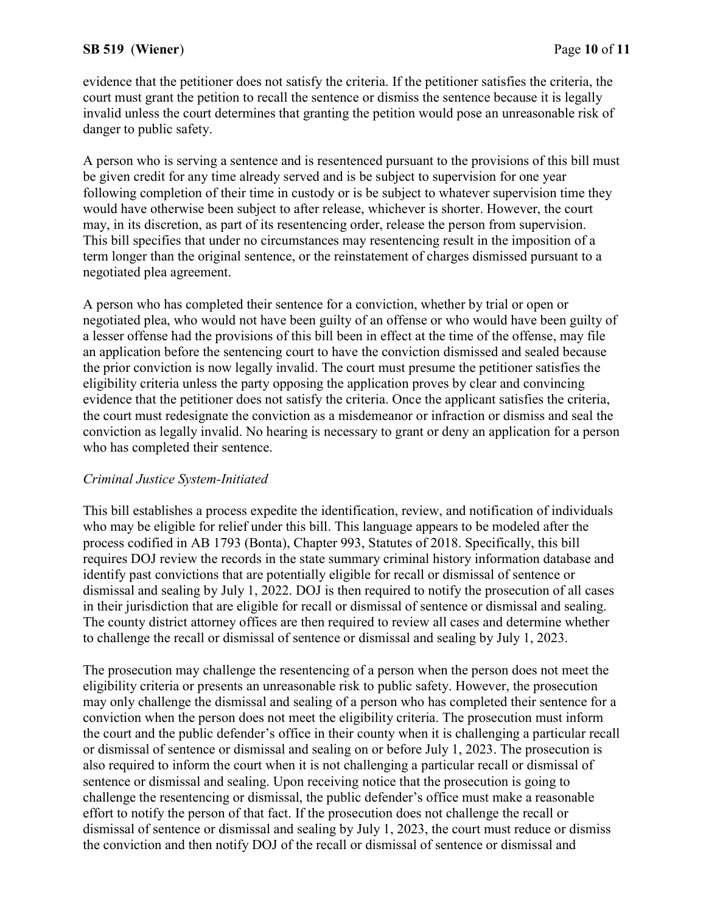### SB 519 (Wiener) Page 10 of 11

evidence that the petitioner does not satisfy the criteria. If the petitioner satisfies the criteria, the court must grant the petition to recall the sentence or dismiss the sentence because it is legally invalid unless the court determines that granting the petition would pose an unreasonable risk of danger to public safety.

A person who is serving a sentence and is resentenced pursuant to the provisions of this bill must be given credit for any time already served and is be subject to supervision for one year following completion of their time in custody or is be subject to whatever supervision time they would have otherwise been subject to after release, whichever is shorter. However, the court may, in its discretion, as part of its resentencing order, release the person from supervision. This bill specifies that under no circumstances may resentencing result in the imposition of a term longer than the original sentence, or the reinstatement of charges dismissed pursuant to a negotiated plea agreement.

A person who has completed their sentence for a conviction, whether by trial or open or negotiated plea, who would not have been guilty of an offense or who would have been guilty of a lesser offense had the provisions of this bill been in effect at the time of the offense, may file an application before the sentencing court to have the conviction dismissed and sealed because the prior conviction is now legally invalid. The court must presume the petitioner satisfies the eligibility criteria unless the party opposing the application proves by clear and convincing evidence that the petitioner does not satisfy the criteria. Once the applicant satisfies the criteria, the court must redesignate the conviction as a misdemeanor or infraction or dismiss and seal the conviction as legally invalid. No hearing is necessary to grant or deny an application for a person who has completed their sentence.

#### Criminal Justice System-Initiated

This bill establishes a process expedite the identification, review, and notification of individuals who may be eligible for relief under this bill. This language appears to be modeled after the process codified in AB 1793 (Bonta), Chapter 993, Statutes of 2018. Specifically, this bill requires DOJ review the records in the state summary criminal history information database and identify past convictions that are potentially eligible for recall or dismissal of sentence or dismissal and sealing by July 1, 2022. DOJ is then required to notify the prosecution of all cases in their jurisdiction that are eligible for recall or dismissal of sentence or dismissal and sealing. The county district attorney offices are then required to review all cases and determine whether to challenge the recall or dismissal of sentence or dismissal and sealing by July 1, 2023.

The prosecution may challenge the resentencing of a person when the person does not meet the eligibility criteria or presents an unreasonable risk to public safety. However, the prosecution may only challenge the dismissal and sealing of a person who has completed their sentence for a conviction when the person does not meet the eligibility criteria. The prosecution must inform the court and the public defender's office in their county when it is challenging a particular recall or dismissal of sentence or dismissal and sealing on or before July 1, 2023. The prosecution is also required to inform the court when it is not challenging a particular recall or dismissal of sentence or dismissal and sealing. Upon receiving notice that the prosecution is going to challenge the resentencing or dismissal, the public defender's office must make a reasonable effort to notify the person of that fact. If the prosecution does not challenge the recall or dismissal of sentence or dismissal and sealing by July 1, 2023, the court must reduce or dismiss the conviction and then notify DOJ of the recall or dismissal of sentence or dismissal and